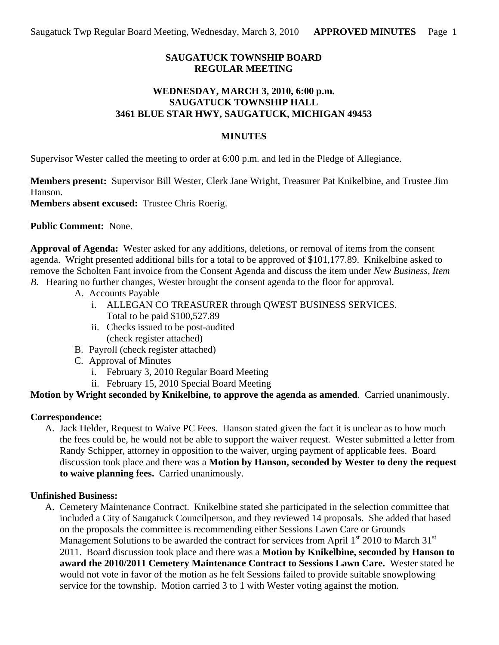# **SAUGATUCK TOWNSHIP BOARD REGULAR MEETING**

### **WEDNESDAY, MARCH 3, 2010, 6:00 p.m. SAUGATUCK TOWNSHIP HALL 3461 BLUE STAR HWY, SAUGATUCK, MICHIGAN 49453**

### **MINUTES**

Supervisor Wester called the meeting to order at 6:00 p.m. and led in the Pledge of Allegiance.

**Members present:** Supervisor Bill Wester, Clerk Jane Wright, Treasurer Pat Knikelbine, and Trustee Jim Hanson.

**Members absent excused:** Trustee Chris Roerig.

**Public Comment:** None.

**Approval of Agenda:** Wester asked for any additions, deletions, or removal of items from the consent agenda. Wright presented additional bills for a total to be approved of \$101,177.89. Knikelbine asked to remove the Scholten Fant invoice from the Consent Agenda and discuss the item under *New Business, Item B.* Hearing no further changes, Wester brought the consent agenda to the floor for approval.

- A. Accounts Payable
	- i. ALLEGAN CO TREASURER through QWEST BUSINESS SERVICES. Total to be paid \$100,527.89
	- ii. Checks issued to be post-audited (check register attached)
- B. Payroll (check register attached)
- C. Approval of Minutes
	- i. February 3, 2010 Regular Board Meeting
	- ii. February 15, 2010 Special Board Meeting

**Motion by Wright seconded by Knikelbine, to approve the agenda as amended**. Carried unanimously.

# **Correspondence:**

A. Jack Helder, Request to Waive PC Fees. Hanson stated given the fact it is unclear as to how much the fees could be, he would not be able to support the waiver request. Wester submitted a letter from Randy Schipper, attorney in opposition to the waiver, urging payment of applicable fees. Board discussion took place and there was a **Motion by Hanson, seconded by Wester to deny the request to waive planning fees.** Carried unanimously.

# **Unfinished Business:**

A. Cemetery Maintenance Contract. Knikelbine stated she participated in the selection committee that included a City of Saugatuck Councilperson, and they reviewed 14 proposals. She added that based on the proposals the committee is recommending either Sessions Lawn Care or Grounds Management Solutions to be awarded the contract for services from April  $1<sup>st</sup>$  2010 to March 31<sup>st</sup> 2011. Board discussion took place and there was a **Motion by Knikelbine, seconded by Hanson to award the 2010/2011 Cemetery Maintenance Contract to Sessions Lawn Care.** Wester stated he would not vote in favor of the motion as he felt Sessions failed to provide suitable snowplowing service for the township. Motion carried 3 to 1 with Wester voting against the motion.